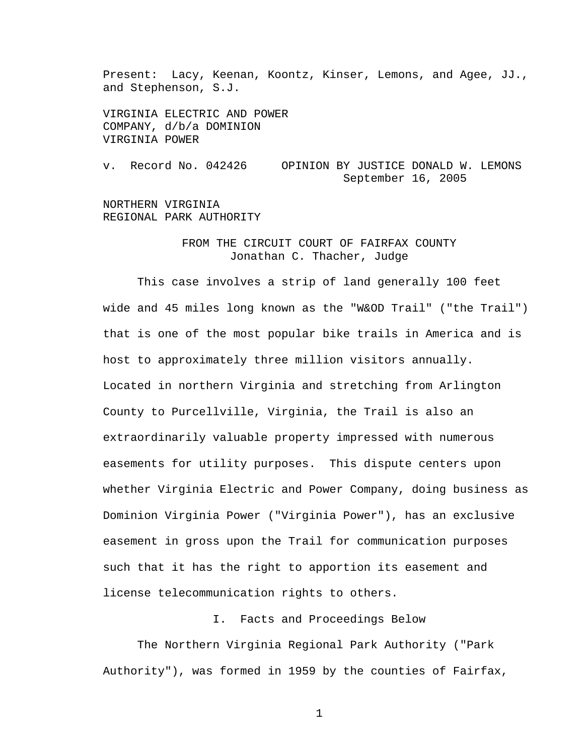Present: Lacy, Keenan, Koontz, Kinser, Lemons, and Agee, JJ., and Stephenson, S.J.

VIRGINIA ELECTRIC AND POWER COMPANY, d/b/a DOMINION VIRGINIA POWER

v. Record No. 042426 OPINION BY JUSTICE DONALD W. LEMONS September 16, 2005

NORTHERN VIRGINIA REGIONAL PARK AUTHORITY

## FROM THE CIRCUIT COURT OF FAIRFAX COUNTY Jonathan C. Thacher, Judge

 This case involves a strip of land generally 100 feet wide and 45 miles long known as the "W&OD Trail" ("the Trail") that is one of the most popular bike trails in America and is host to approximately three million visitors annually. Located in northern Virginia and stretching from Arlington County to Purcellville, Virginia, the Trail is also an extraordinarily valuable property impressed with numerous easements for utility purposes. This dispute centers upon whether Virginia Electric and Power Company, doing business as Dominion Virginia Power ("Virginia Power"), has an exclusive easement in gross upon the Trail for communication purposes such that it has the right to apportion its easement and license telecommunication rights to others.

I. Facts and Proceedings Below

 The Northern Virginia Regional Park Authority ("Park Authority"), was formed in 1959 by the counties of Fairfax,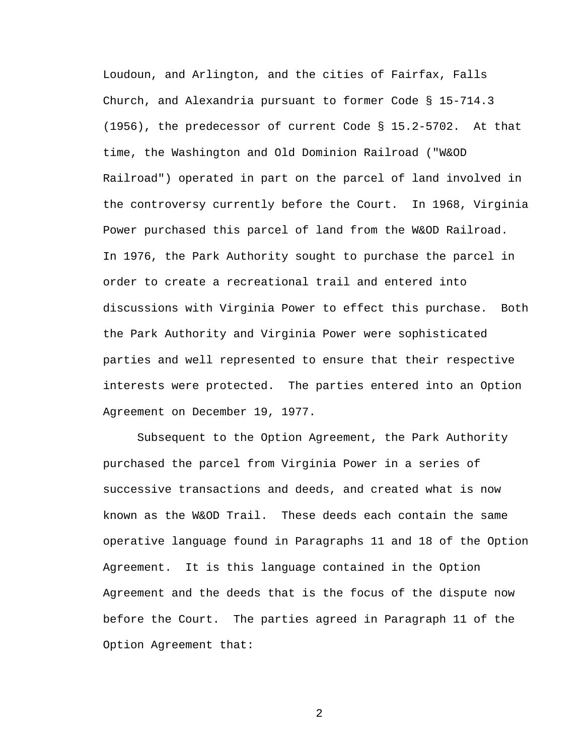Loudoun, and Arlington, and the cities of Fairfax, Falls Church, and Alexandria pursuant to former Code § 15-714.3 (1956), the predecessor of current Code § 15.2-5702. At that time, the Washington and Old Dominion Railroad ("W&OD Railroad") operated in part on the parcel of land involved in the controversy currently before the Court. In 1968, Virginia Power purchased this parcel of land from the W&OD Railroad. In 1976, the Park Authority sought to purchase the parcel in order to create a recreational trail and entered into discussions with Virginia Power to effect this purchase. Both the Park Authority and Virginia Power were sophisticated parties and well represented to ensure that their respective interests were protected. The parties entered into an Option Agreement on December 19, 1977.

Subsequent to the Option Agreement, the Park Authority purchased the parcel from Virginia Power in a series of successive transactions and deeds, and created what is now known as the W&OD Trail. These deeds each contain the same operative language found in Paragraphs 11 and 18 of the Option Agreement. It is this language contained in the Option Agreement and the deeds that is the focus of the dispute now before the Court. The parties agreed in Paragraph 11 of the Option Agreement that: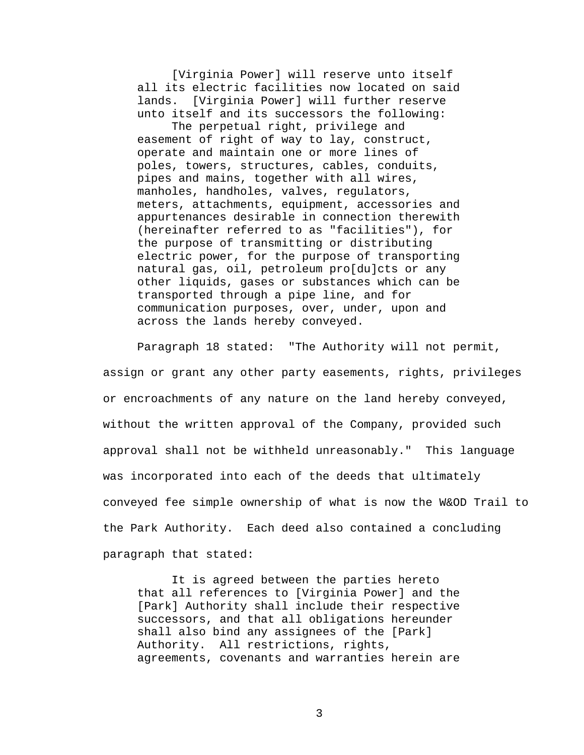[Virginia Power] will reserve unto itself all its electric facilities now located on said lands. [Virginia Power] will further reserve unto itself and its successors the following:

The perpetual right, privilege and easement of right of way to lay, construct, operate and maintain one or more lines of poles, towers, structures, cables, conduits, pipes and mains, together with all wires, manholes, handholes, valves, regulators, meters, attachments, equipment, accessories and appurtenances desirable in connection therewith (hereinafter referred to as "facilities"), for the purpose of transmitting or distributing electric power, for the purpose of transporting natural gas, oil, petroleum pro[du]cts or any other liquids, gases or substances which can be transported through a pipe line, and for communication purposes, over, under, upon and across the lands hereby conveyed.

Paragraph 18 stated: "The Authority will not permit, assign or grant any other party easements, rights, privileges or encroachments of any nature on the land hereby conveyed, without the written approval of the Company, provided such approval shall not be withheld unreasonably." This language was incorporated into each of the deeds that ultimately conveyed fee simple ownership of what is now the W&OD Trail to the Park Authority. Each deed also contained a concluding paragraph that stated:

It is agreed between the parties hereto that all references to [Virginia Power] and the [Park] Authority shall include their respective successors, and that all obligations hereunder shall also bind any assignees of the [Park] Authority. All restrictions, rights, agreements, covenants and warranties herein are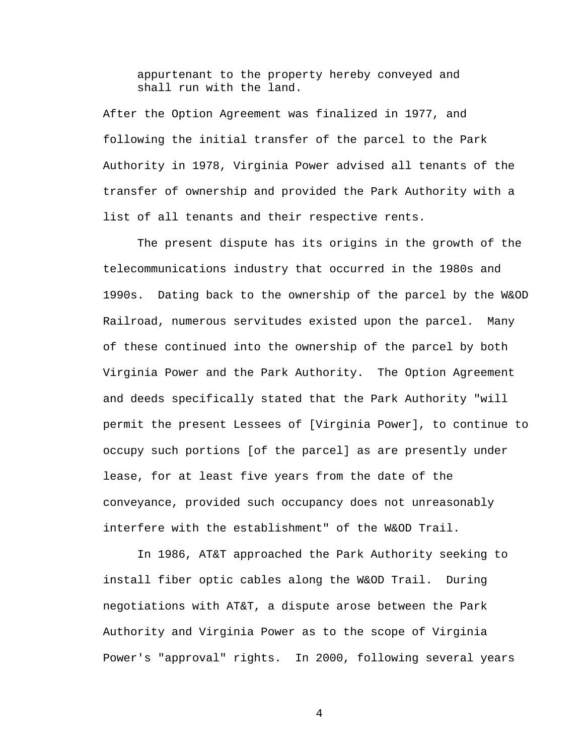appurtenant to the property hereby conveyed and shall run with the land.

After the Option Agreement was finalized in 1977, and following the initial transfer of the parcel to the Park Authority in 1978, Virginia Power advised all tenants of the transfer of ownership and provided the Park Authority with a list of all tenants and their respective rents.

The present dispute has its origins in the growth of the telecommunications industry that occurred in the 1980s and 1990s. Dating back to the ownership of the parcel by the W&OD Railroad, numerous servitudes existed upon the parcel. Many of these continued into the ownership of the parcel by both Virginia Power and the Park Authority. The Option Agreement and deeds specifically stated that the Park Authority "will permit the present Lessees of [Virginia Power], to continue to occupy such portions [of the parcel] as are presently under lease, for at least five years from the date of the conveyance, provided such occupancy does not unreasonably interfere with the establishment" of the W&OD Trail.

In 1986, AT&T approached the Park Authority seeking to install fiber optic cables along the W&OD Trail. During negotiations with AT&T, a dispute arose between the Park Authority and Virginia Power as to the scope of Virginia Power's "approval" rights. In 2000, following several years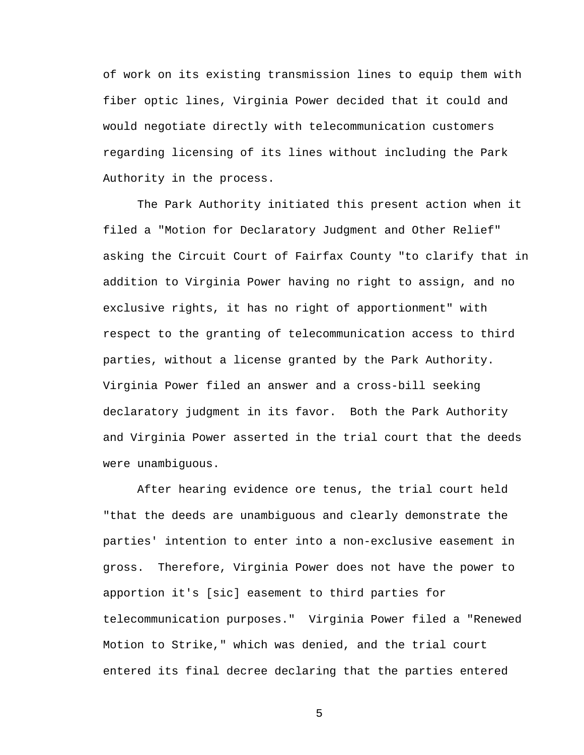of work on its existing transmission lines to equip them with fiber optic lines, Virginia Power decided that it could and would negotiate directly with telecommunication customers regarding licensing of its lines without including the Park Authority in the process.

The Park Authority initiated this present action when it filed a "Motion for Declaratory Judgment and Other Relief" asking the Circuit Court of Fairfax County "to clarify that in addition to Virginia Power having no right to assign, and no exclusive rights, it has no right of apportionment" with respect to the granting of telecommunication access to third parties, without a license granted by the Park Authority. Virginia Power filed an answer and a cross-bill seeking declaratory judgment in its favor. Both the Park Authority and Virginia Power asserted in the trial court that the deeds were unambiguous.

After hearing evidence ore tenus, the trial court held "that the deeds are unambiguous and clearly demonstrate the parties' intention to enter into a non-exclusive easement in gross. Therefore, Virginia Power does not have the power to apportion it's [sic] easement to third parties for telecommunication purposes." Virginia Power filed a "Renewed Motion to Strike," which was denied, and the trial court entered its final decree declaring that the parties entered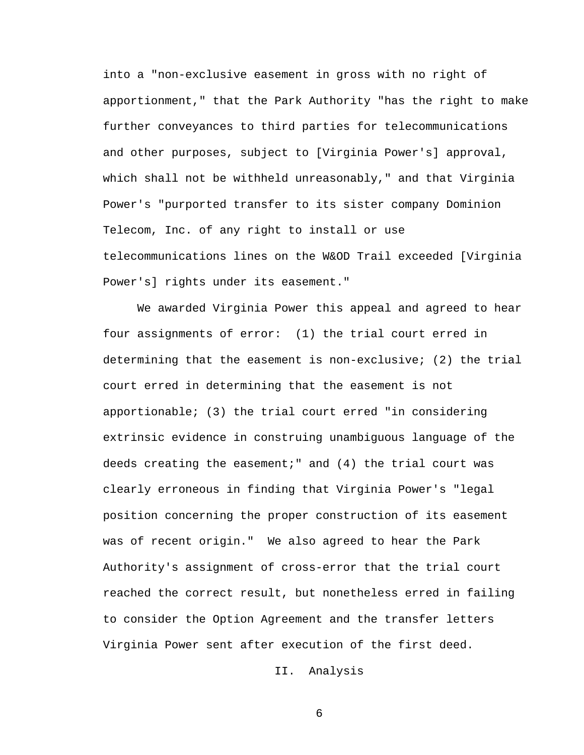into a "non-exclusive easement in gross with no right of apportionment," that the Park Authority "has the right to make further conveyances to third parties for telecommunications and other purposes, subject to [Virginia Power's] approval, which shall not be withheld unreasonably," and that Virginia Power's "purported transfer to its sister company Dominion Telecom, Inc. of any right to install or use telecommunications lines on the W&OD Trail exceeded [Virginia Power's] rights under its easement."

We awarded Virginia Power this appeal and agreed to hear four assignments of error: (1) the trial court erred in determining that the easement is non-exclusive; (2) the trial court erred in determining that the easement is not apportionable; (3) the trial court erred "in considering extrinsic evidence in construing unambiguous language of the deeds creating the easement;" and (4) the trial court was clearly erroneous in finding that Virginia Power's "legal position concerning the proper construction of its easement was of recent origin." We also agreed to hear the Park Authority's assignment of cross-error that the trial court reached the correct result, but nonetheless erred in failing to consider the Option Agreement and the transfer letters Virginia Power sent after execution of the first deed.

II. Analysis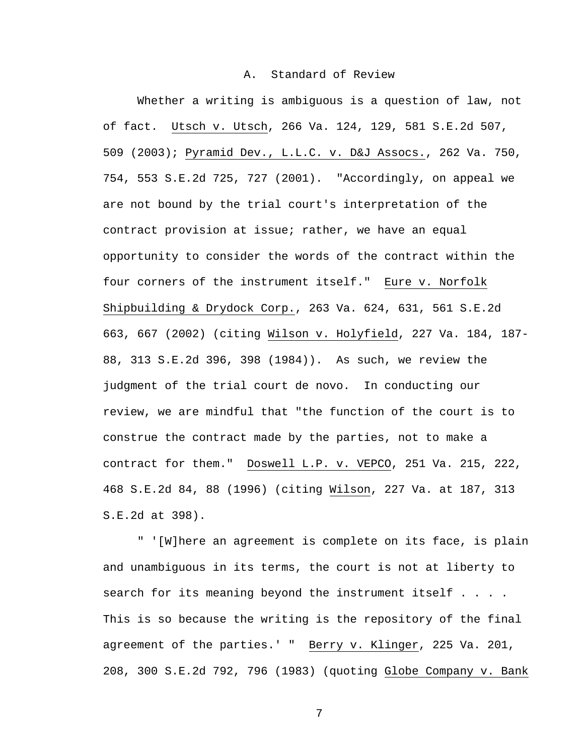## A. Standard of Review

Whether a writing is ambiguous is a question of law, not of fact. Utsch v. Utsch, 266 Va. 124, 129, 581 S.E.2d 507, 509 (2003); Pyramid Dev., L.L.C. v. D&J Assocs., 262 Va. 750, 754, 553 S.E.2d 725, 727 (2001). "Accordingly, on appeal we are not bound by the trial court's interpretation of the contract provision at issue; rather, we have an equal opportunity to consider the words of the contract within the four corners of the instrument itself." Eure v. Norfolk Shipbuilding & Drydock Corp., 263 Va. 624, 631, 561 S.E.2d 663, 667 (2002) (citing Wilson v. Holyfield, 227 Va. 184, 187- 88, 313 S.E.2d 396, 398 (1984)). As such, we review the judgment of the trial court de novo. In conducting our review, we are mindful that "the function of the court is to construe the contract made by the parties, not to make a contract for them." Doswell L.P. v. VEPCO, 251 Va. 215, 222, 468 S.E.2d 84, 88 (1996) (citing Wilson, 227 Va. at 187, 313 S.E.2d at 398).

" '[W]here an agreement is complete on its face, is plain and unambiguous in its terms, the court is not at liberty to search for its meaning beyond the instrument itself . . . . This is so because the writing is the repository of the final agreement of the parties.' " Berry v. Klinger, 225 Va. 201, 208, 300 S.E.2d 792, 796 (1983) (quoting Globe Company v. Bank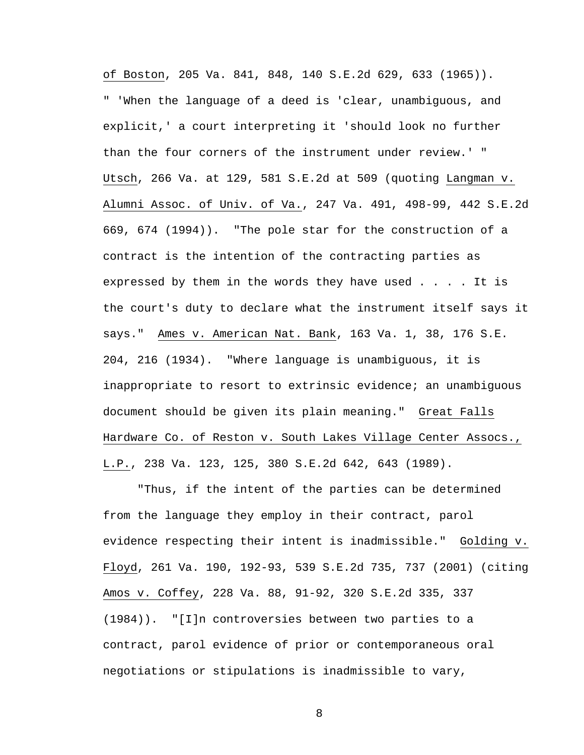of Boston, 205 Va. 841, 848, 140 S.E.2d 629, 633 (1965)). " 'When the language of a deed is 'clear, unambiguous, and explicit,' a court interpreting it 'should look no further than the four corners of the instrument under review.' " Utsch, 266 Va. at 129, 581 S.E.2d at 509 (quoting Langman v. Alumni Assoc. of Univ. of Va., 247 Va. 491, 498-99, 442 S.E.2d 669, 674 (1994)). "The pole star for the construction of a contract is the intention of the contracting parties as expressed by them in the words they have used . . . . It is the court's duty to declare what the instrument itself says it says." Ames v. American Nat. Bank, 163 Va. 1, 38, 176 S.E. 204, 216 (1934). "Where language is unambiguous, it is inappropriate to resort to extrinsic evidence; an unambiguous document should be given its plain meaning." Great Falls Hardware Co. of Reston v. South Lakes Village Center Assocs., L.P., 238 Va. 123, 125, 380 S.E.2d 642, 643 (1989).

"Thus, if the intent of the parties can be determined from the language they employ in their contract, parol evidence respecting their intent is inadmissible." Golding v. Floyd, 261 Va. 190, 192-93, 539 S.E.2d 735, 737 (2001) (citing Amos v. Coffey, 228 Va. 88, 91-92, 320 S.E.2d 335, 337 (1984)). "[I]n controversies between two parties to a contract, parol evidence of prior or contemporaneous oral negotiations or stipulations is inadmissible to vary,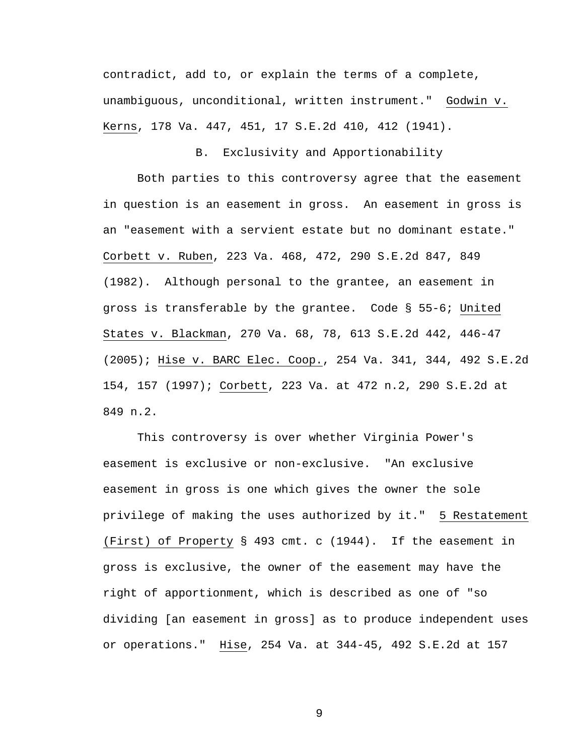contradict, add to, or explain the terms of a complete, unambiguous, unconditional, written instrument." Godwin v. Kerns, 178 Va. 447, 451, 17 S.E.2d 410, 412 (1941).

B. Exclusivity and Apportionability

Both parties to this controversy agree that the easement in question is an easement in gross. An easement in gross is an "easement with a servient estate but no dominant estate." Corbett v. Ruben, 223 Va. 468, 472, 290 S.E.2d 847, 849 (1982). Although personal to the grantee, an easement in gross is transferable by the grantee. Code § 55-6; United States v. Blackman, 270 Va. 68, 78, 613 S.E.2d 442, 446-47 (2005); Hise v. BARC Elec. Coop., 254 Va. 341, 344, 492 S.E.2d 154, 157 (1997); Corbett, 223 Va. at 472 n.2, 290 S.E.2d at 849 n.2.

 This controversy is over whether Virginia Power's easement is exclusive or non-exclusive. "An exclusive easement in gross is one which gives the owner the sole privilege of making the uses authorized by it." 5 Restatement (First) of Property § 493 cmt. c (1944). If the easement in gross is exclusive, the owner of the easement may have the right of apportionment, which is described as one of "so dividing [an easement in gross] as to produce independent uses or operations." Hise, 254 Va. at 344-45, 492 S.E.2d at 157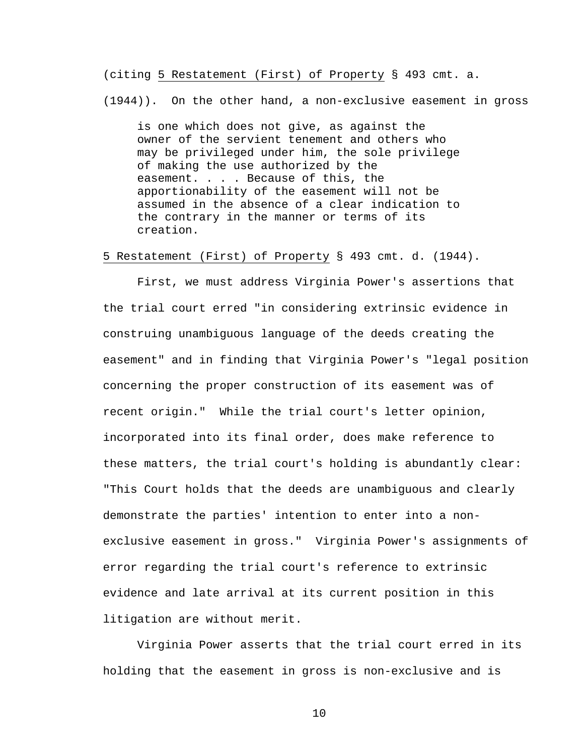(citing 5 Restatement (First) of Property § 493 cmt. a.

(1944)). On the other hand, a non-exclusive easement in gross

is one which does not give, as against the owner of the servient tenement and others who may be privileged under him, the sole privilege of making the use authorized by the easement. . . . Because of this, the apportionability of the easement will not be assumed in the absence of a clear indication to the contrary in the manner or terms of its creation.

5 Restatement (First) of Property § 493 cmt. d. (1944).

 First, we must address Virginia Power's assertions that the trial court erred "in considering extrinsic evidence in construing unambiguous language of the deeds creating the easement" and in finding that Virginia Power's "legal position concerning the proper construction of its easement was of recent origin." While the trial court's letter opinion, incorporated into its final order, does make reference to these matters, the trial court's holding is abundantly clear: "This Court holds that the deeds are unambiguous and clearly demonstrate the parties' intention to enter into a nonexclusive easement in gross." Virginia Power's assignments of error regarding the trial court's reference to extrinsic evidence and late arrival at its current position in this litigation are without merit.

 Virginia Power asserts that the trial court erred in its holding that the easement in gross is non-exclusive and is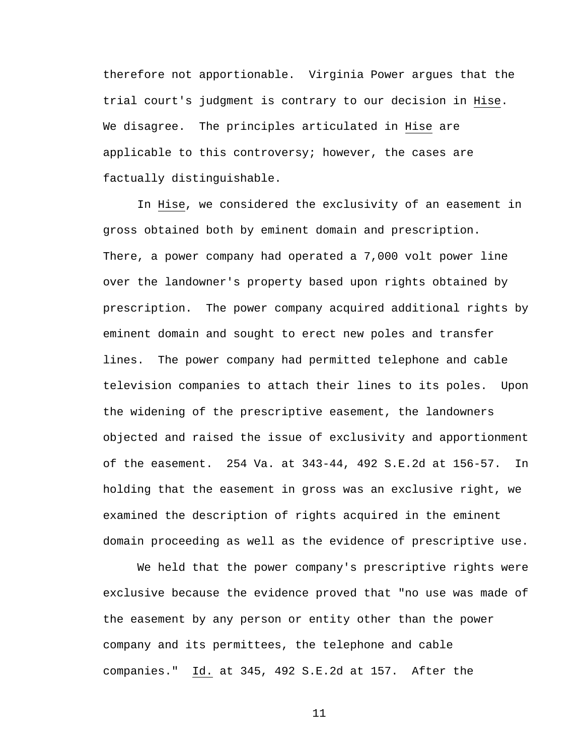therefore not apportionable. Virginia Power argues that the trial court's judgment is contrary to our decision in Hise. We disagree. The principles articulated in Hise are applicable to this controversy; however, the cases are factually distinguishable.

 In Hise, we considered the exclusivity of an easement in gross obtained both by eminent domain and prescription. There, a power company had operated a 7,000 volt power line over the landowner's property based upon rights obtained by prescription. The power company acquired additional rights by eminent domain and sought to erect new poles and transfer lines. The power company had permitted telephone and cable television companies to attach their lines to its poles. Upon the widening of the prescriptive easement, the landowners objected and raised the issue of exclusivity and apportionment of the easement. 254 Va. at 343-44, 492 S.E.2d at 156-57. In holding that the easement in gross was an exclusive right, we examined the description of rights acquired in the eminent domain proceeding as well as the evidence of prescriptive use.

 We held that the power company's prescriptive rights were exclusive because the evidence proved that "no use was made of the easement by any person or entity other than the power company and its permittees, the telephone and cable companies." Id. at 345, 492 S.E.2d at 157. After the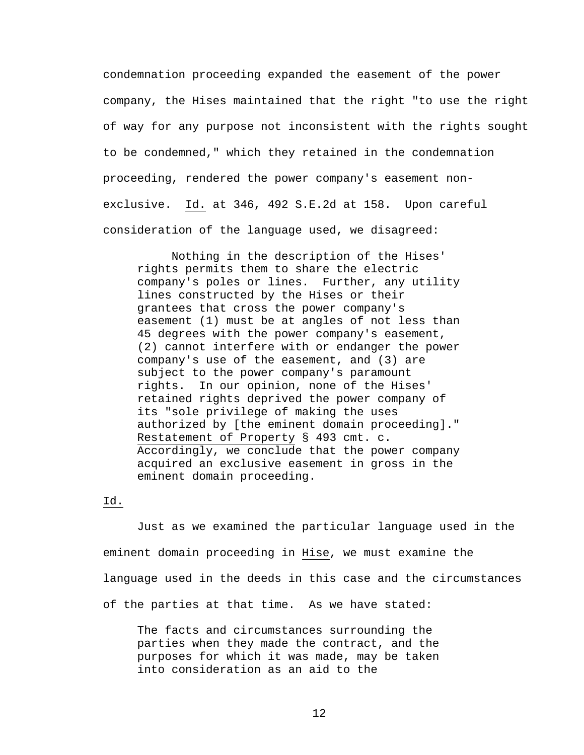condemnation proceeding expanded the easement of the power company, the Hises maintained that the right "to use the right of way for any purpose not inconsistent with the rights sought to be condemned," which they retained in the condemnation proceeding, rendered the power company's easement nonexclusive. Id. at 346, 492 S.E.2d at 158. Upon careful consideration of the language used, we disagreed:

 Nothing in the description of the Hises' rights permits them to share the electric company's poles or lines. Further, any utility lines constructed by the Hises or their grantees that cross the power company's easement (1) must be at angles of not less than 45 degrees with the power company's easement, (2) cannot interfere with or endanger the power company's use of the easement, and (3) are subject to the power company's paramount rights. In our opinion, none of the Hises' retained rights deprived the power company of its "sole privilege of making the uses authorized by [the eminent domain proceeding]." Restatement of Property § 493 cmt. c. Accordingly, we conclude that the power company acquired an exclusive easement in gross in the eminent domain proceeding.

## Id.

 Just as we examined the particular language used in the eminent domain proceeding in Hise, we must examine the language used in the deeds in this case and the circumstances of the parties at that time. As we have stated:

The facts and circumstances surrounding the parties when they made the contract, and the purposes for which it was made, may be taken into consideration as an aid to the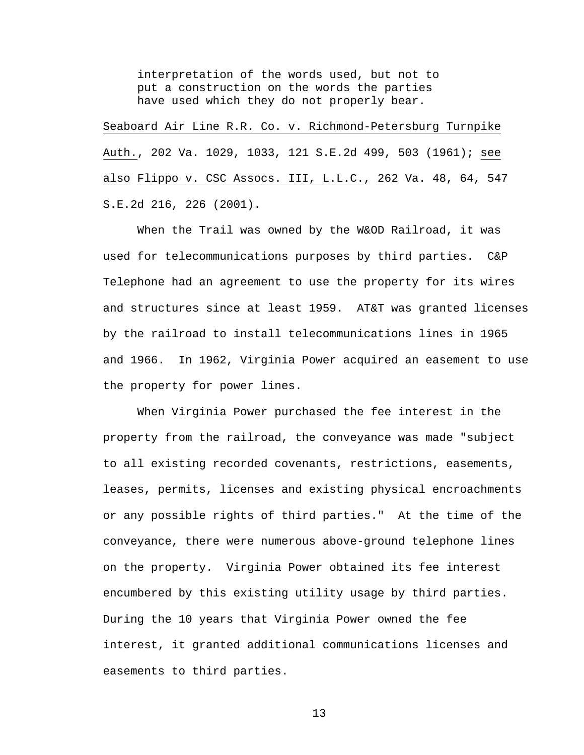interpretation of the words used, but not to put a construction on the words the parties have used which they do not properly bear.

Seaboard Air Line R.R. Co. v. Richmond-Petersburg Turnpike Auth., 202 Va. 1029, 1033, 121 S.E.2d 499, 503 (1961); see also Flippo v. CSC Assocs. III, L.L.C., 262 Va. 48, 64, 547 S.E.2d 216, 226 (2001).

 When the Trail was owned by the W&OD Railroad, it was used for telecommunications purposes by third parties. C&P Telephone had an agreement to use the property for its wires and structures since at least 1959. AT&T was granted licenses by the railroad to install telecommunications lines in 1965 and 1966. In 1962, Virginia Power acquired an easement to use the property for power lines.

 When Virginia Power purchased the fee interest in the property from the railroad, the conveyance was made "subject to all existing recorded covenants, restrictions, easements, leases, permits, licenses and existing physical encroachments or any possible rights of third parties." At the time of the conveyance, there were numerous above-ground telephone lines on the property. Virginia Power obtained its fee interest encumbered by this existing utility usage by third parties. During the 10 years that Virginia Power owned the fee interest, it granted additional communications licenses and easements to third parties.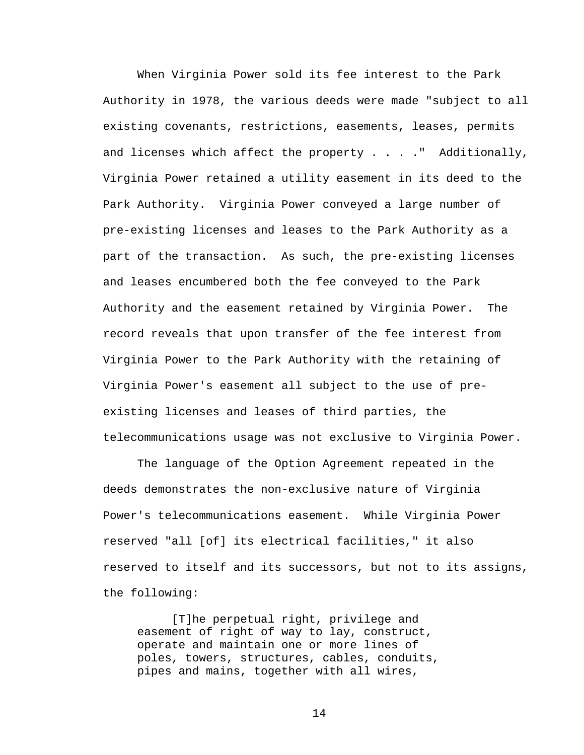When Virginia Power sold its fee interest to the Park Authority in 1978, the various deeds were made "subject to all existing covenants, restrictions, easements, leases, permits and licenses which affect the property . . . ."Additionally, Virginia Power retained a utility easement in its deed to the Park Authority. Virginia Power conveyed a large number of pre-existing licenses and leases to the Park Authority as a part of the transaction. As such, the pre-existing licenses and leases encumbered both the fee conveyed to the Park Authority and the easement retained by Virginia Power. The record reveals that upon transfer of the fee interest from Virginia Power to the Park Authority with the retaining of Virginia Power's easement all subject to the use of preexisting licenses and leases of third parties, the telecommunications usage was not exclusive to Virginia Power.

 The language of the Option Agreement repeated in the deeds demonstrates the non-exclusive nature of Virginia Power's telecommunications easement. While Virginia Power reserved "all [of] its electrical facilities," it also reserved to itself and its successors, but not to its assigns, the following:

[T]he perpetual right, privilege and easement of right of way to lay, construct, operate and maintain one or more lines of poles, towers, structures, cables, conduits, pipes and mains, together with all wires,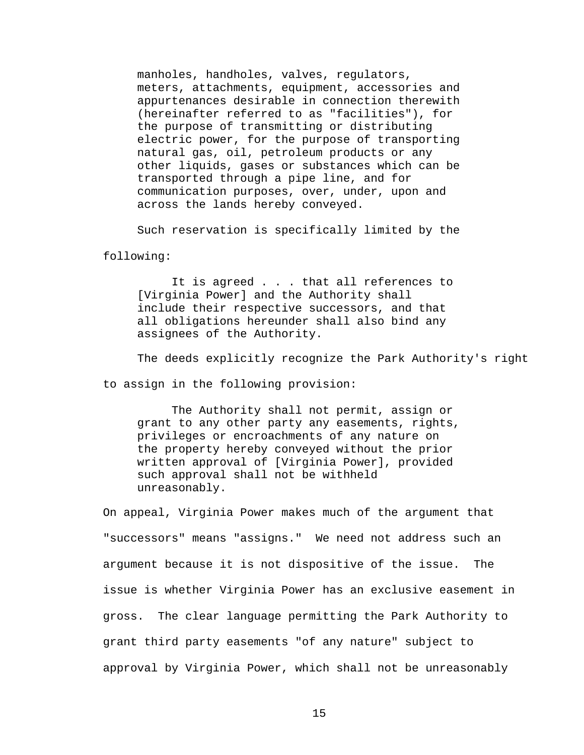manholes, handholes, valves, regulators, meters, attachments, equipment, accessories and appurtenances desirable in connection therewith (hereinafter referred to as "facilities"), for the purpose of transmitting or distributing electric power, for the purpose of transporting natural gas, oil, petroleum products or any other liquids, gases or substances which can be transported through a pipe line, and for communication purposes, over, under, upon and across the lands hereby conveyed.

Such reservation is specifically limited by the

following:

It is agreed . . . that all references to [Virginia Power] and the Authority shall include their respective successors, and that all obligations hereunder shall also bind any assignees of the Authority.

The deeds explicitly recognize the Park Authority's right

to assign in the following provision:

 The Authority shall not permit, assign or grant to any other party any easements, rights, privileges or encroachments of any nature on the property hereby conveyed without the prior written approval of [Virginia Power], provided such approval shall not be withheld unreasonably.

On appeal, Virginia Power makes much of the argument that "successors" means "assigns." We need not address such an argument because it is not dispositive of the issue. The issue is whether Virginia Power has an exclusive easement in gross. The clear language permitting the Park Authority to grant third party easements "of any nature" subject to approval by Virginia Power, which shall not be unreasonably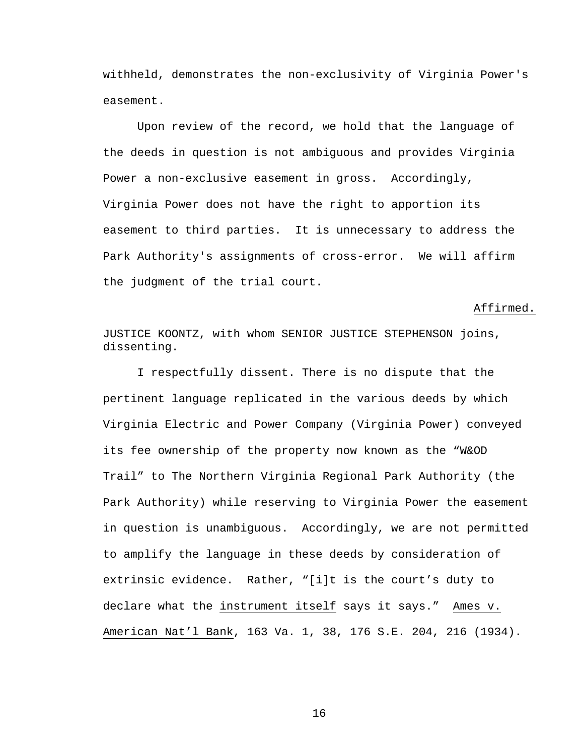withheld, demonstrates the non-exclusivity of Virginia Power's easement.

 Upon review of the record, we hold that the language of the deeds in question is not ambiguous and provides Virginia Power a non-exclusive easement in gross. Accordingly, Virginia Power does not have the right to apportion its easement to third parties. It is unnecessary to address the Park Authority's assignments of cross-error. We will affirm the judgment of the trial court.

Affirmed.

JUSTICE KOONTZ, with whom SENIOR JUSTICE STEPHENSON joins, dissenting.

I respectfully dissent. There is no dispute that the pertinent language replicated in the various deeds by which Virginia Electric and Power Company (Virginia Power) conveyed its fee ownership of the property now known as the "W&OD Trail" to The Northern Virginia Regional Park Authority (the Park Authority) while reserving to Virginia Power the easement in question is unambiguous. Accordingly, we are not permitted to amplify the language in these deeds by consideration of extrinsic evidence. Rather, "[i]t is the court's duty to declare what the instrument itself says it says." Ames v. American Nat'l Bank, 163 Va. 1, 38, 176 S.E. 204, 216 (1934).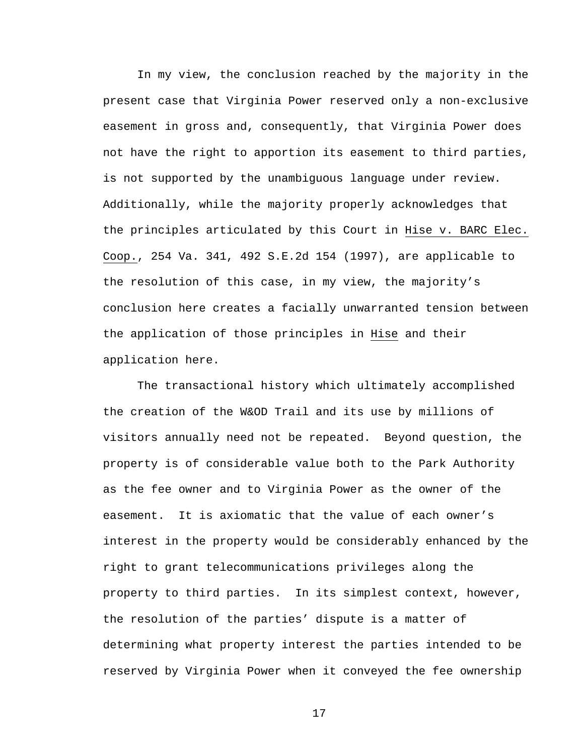In my view, the conclusion reached by the majority in the present case that Virginia Power reserved only a non-exclusive easement in gross and, consequently, that Virginia Power does not have the right to apportion its easement to third parties, is not supported by the unambiguous language under review. Additionally, while the majority properly acknowledges that the principles articulated by this Court in Hise v. BARC Elec. Coop., 254 Va. 341, 492 S.E.2d 154 (1997), are applicable to the resolution of this case, in my view, the majority's conclusion here creates a facially unwarranted tension between the application of those principles in Hise and their application here.

The transactional history which ultimately accomplished the creation of the W&OD Trail and its use by millions of visitors annually need not be repeated. Beyond question, the property is of considerable value both to the Park Authority as the fee owner and to Virginia Power as the owner of the easement. It is axiomatic that the value of each owner's interest in the property would be considerably enhanced by the right to grant telecommunications privileges along the property to third parties. In its simplest context, however, the resolution of the parties' dispute is a matter of determining what property interest the parties intended to be reserved by Virginia Power when it conveyed the fee ownership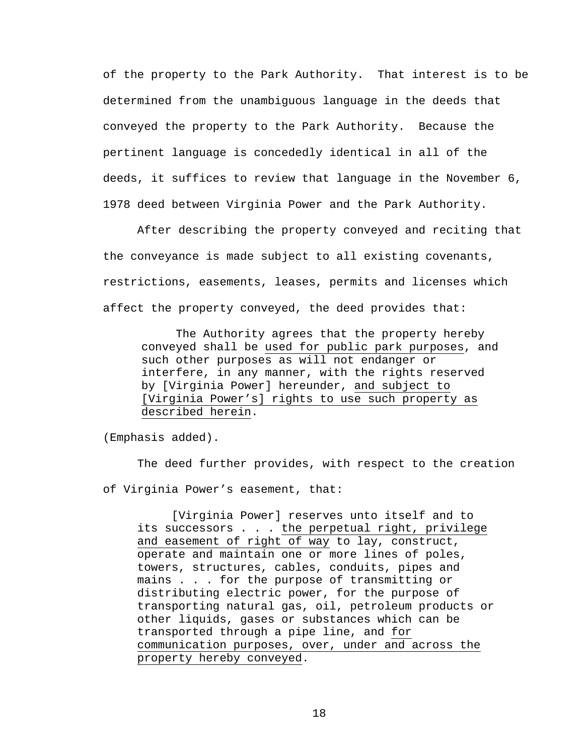of the property to the Park Authority. That interest is to be determined from the unambiguous language in the deeds that conveyed the property to the Park Authority. Because the pertinent language is concededly identical in all of the deeds, it suffices to review that language in the November 6, 1978 deed between Virginia Power and the Park Authority.

After describing the property conveyed and reciting that the conveyance is made subject to all existing covenants, restrictions, easements, leases, permits and licenses which affect the property conveyed, the deed provides that:

The Authority agrees that the property hereby conveyed shall be used for public park purposes, and such other purposes as will not endanger or interfere, in any manner, with the rights reserved by [Virginia Power] hereunder, and subject to [Virginia Power's] rights to use such property as described herein.

(Emphasis added).

The deed further provides, with respect to the creation of Virginia Power's easement, that:

[Virginia Power] reserves unto itself and to its successors . . . the perpetual right, privilege and easement of right of way to lay, construct, operate and maintain one or more lines of poles, towers, structures, cables, conduits, pipes and mains . . . for the purpose of transmitting or distributing electric power, for the purpose of transporting natural gas, oil, petroleum products or other liquids, gases or substances which can be transported through a pipe line, and for communication purposes, over, under and across the property hereby conveyed.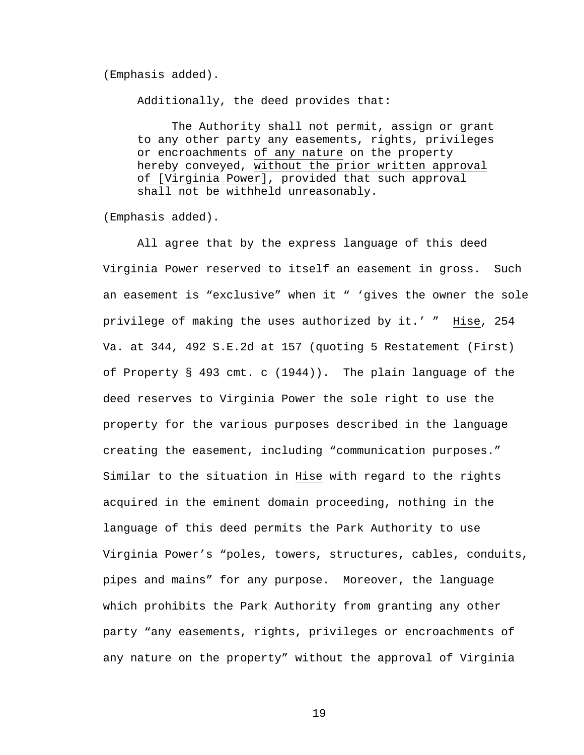## (Emphasis added).

Additionally, the deed provides that:

The Authority shall not permit, assign or grant to any other party any easements, rights, privileges or encroachments of any nature on the property hereby conveyed, without the prior written approval of [Virginia Power], provided that such approval shall not be withheld unreasonably.

(Emphasis added).

All agree that by the express language of this deed Virginia Power reserved to itself an easement in gross. Such an easement is "exclusive" when it " 'gives the owner the sole privilege of making the uses authorized by it.' " Hise, 254 Va. at 344, 492 S.E.2d at 157 (quoting 5 Restatement (First) of Property § 493 cmt. c (1944)). The plain language of the deed reserves to Virginia Power the sole right to use the property for the various purposes described in the language creating the easement, including "communication purposes." Similar to the situation in Hise with regard to the rights acquired in the eminent domain proceeding, nothing in the language of this deed permits the Park Authority to use Virginia Power's "poles, towers, structures, cables, conduits, pipes and mains" for any purpose. Moreover, the language which prohibits the Park Authority from granting any other party "any easements, rights, privileges or encroachments of any nature on the property" without the approval of Virginia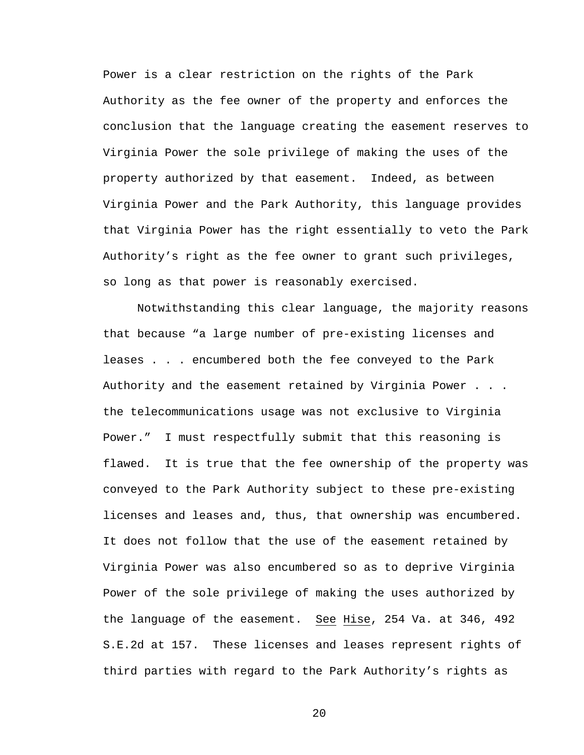Power is a clear restriction on the rights of the Park Authority as the fee owner of the property and enforces the conclusion that the language creating the easement reserves to Virginia Power the sole privilege of making the uses of the property authorized by that easement. Indeed, as between Virginia Power and the Park Authority, this language provides that Virginia Power has the right essentially to veto the Park Authority's right as the fee owner to grant such privileges, so long as that power is reasonably exercised.

Notwithstanding this clear language, the majority reasons that because "a large number of pre-existing licenses and leases . . . encumbered both the fee conveyed to the Park Authority and the easement retained by Virginia Power . . . the telecommunications usage was not exclusive to Virginia Power." I must respectfully submit that this reasoning is flawed. It is true that the fee ownership of the property was conveyed to the Park Authority subject to these pre-existing licenses and leases and, thus, that ownership was encumbered. It does not follow that the use of the easement retained by Virginia Power was also encumbered so as to deprive Virginia Power of the sole privilege of making the uses authorized by the language of the easement. See Hise, 254 Va. at 346, 492 S.E.2d at 157. These licenses and leases represent rights of third parties with regard to the Park Authority's rights as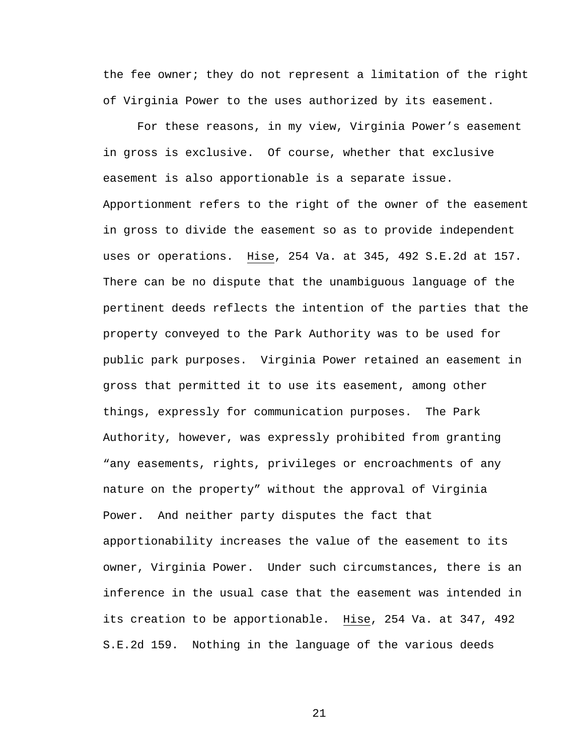the fee owner; they do not represent a limitation of the right of Virginia Power to the uses authorized by its easement.

For these reasons, in my view, Virginia Power's easement in gross is exclusive. Of course, whether that exclusive easement is also apportionable is a separate issue. Apportionment refers to the right of the owner of the easement in gross to divide the easement so as to provide independent uses or operations. Hise, 254 Va. at 345, 492 S.E.2d at 157. There can be no dispute that the unambiguous language of the pertinent deeds reflects the intention of the parties that the property conveyed to the Park Authority was to be used for public park purposes. Virginia Power retained an easement in gross that permitted it to use its easement, among other things, expressly for communication purposes. The Park Authority, however, was expressly prohibited from granting "any easements, rights, privileges or encroachments of any nature on the property" without the approval of Virginia Power. And neither party disputes the fact that apportionability increases the value of the easement to its owner, Virginia Power. Under such circumstances, there is an inference in the usual case that the easement was intended in its creation to be apportionable. Hise, 254 Va. at 347, 492 S.E.2d 159. Nothing in the language of the various deeds